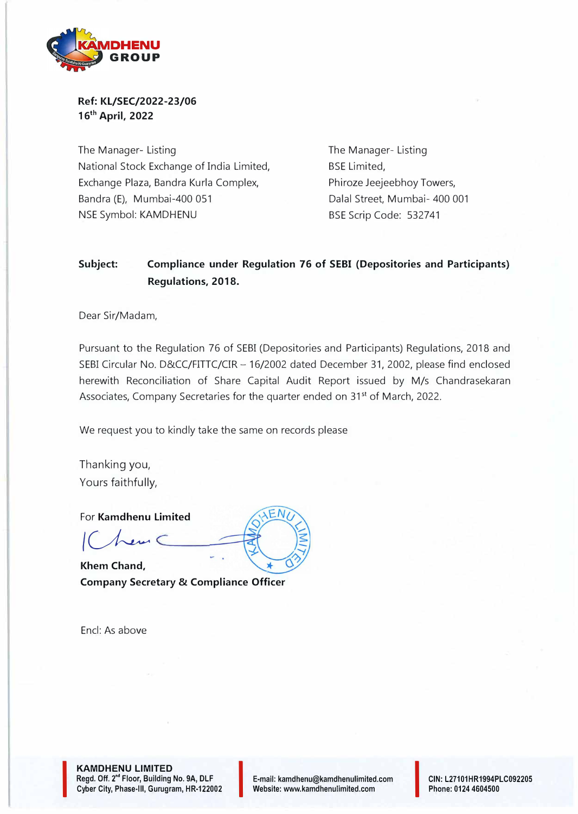

**Ref: KL/SEC/2022-23/06 16th April, 2022** 

The Manager- Listing National Stock Exchange of India Limited, Exchange Plaza, Bandra Kurla Complex, Bandra (E), Mumbai-400 051 NSE Symbol: KAMDHENU

The Manager- Listing BSE Limited, Phiroze Jeejeebhoy Towers, Dalal Street, Mumbai- 400 001 BSE Scrip Code: 532741

## **Subject: Compliance under Regulation 76 of SEBI (Depositories and Participants) Regulations, 2018.**

Dear Sir/Madam,

Pursuant to the Regulation 76 of SEBI (Depositories and Participants) Regulations, 2018 and SEBI Circular No. D&CC/FITTC/CIR - 16/2002 dated December 31, 2002, please find enclosed herewith Reconciliation of Share Capital Audit Report issued by M/s Chandrasekaran Associates, Company Secretaries for the quarter ended on 31<sup>st</sup> of March, 2022.

We request you to kindly take the same on records please

Thanking you, Yours faithfully,

For **Kamdhenu Limited**<br>
| Chem C

**Khem Chand, Company Secretary & Compliance Officer** 

Encl: As *above*

I

**KAMDHENU LIMITED Regd.** Off. 2•• Floor, Building **No. 9A,** DLF Cyber City, Phase-III, Gurugram, HR-122002 E-mail: kamdhenu@kamdhenulimited.com E-mail: kamdhenu@kamdhenulimited.com<br>Website: www.kamdhenulimited.com

CIN: L27101HR1994PLC09220 5 Phone: 0124 4604500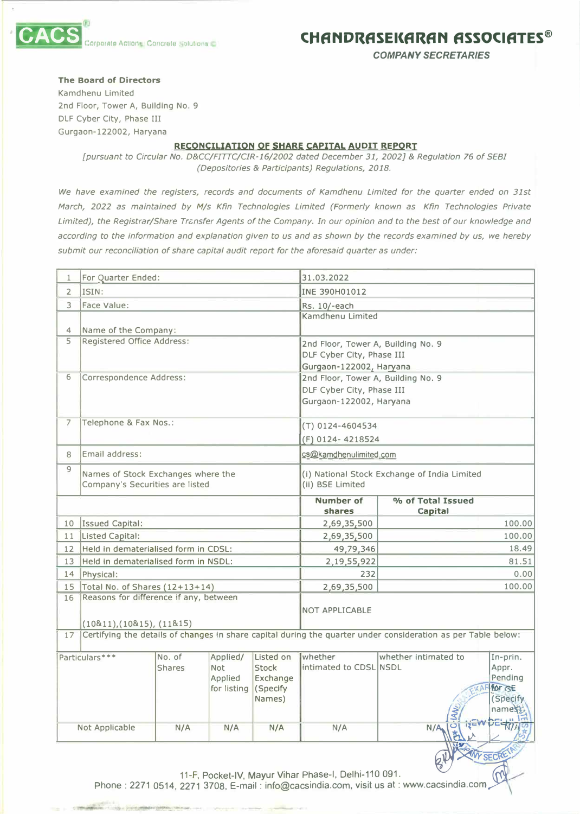



*COMPANY SECRETARIES* 

## **The Board of Directors**

Kamdhenu Limited 2nd Floor, Tower A, Building No. 9 DLF Cyber City, Phase III Gurgaon-122002, Haryana

## **RECONCILIATION Of SHARE CAPITAL AUDIT REPORT**

*[pursuant to Circular No. D&CC/FITTC/CIR-16/2002 dated December 31, 2002}* **&** *Regulation 76 of SEBI (Depositories* **&** *Participants) Regulations, 2018.* 

*We have examined the registers, records and documents of Kamdhenu Limited for the quarter ended on 31st March, 2022 as maintained by M/s Kfin Technologies Limited (Formerly known as Kfin Technologies Private*  Limited), the Registrar/Share Transfer Agents of the Company. In our opinion and to the best of our knowledge and *according to the information and explanation given to us and as shown by the records examined by us, we hereby*  submit our reconciliation of share capital audit report for the aforesaid quarter as under:

| 1                       | For Quarter Ended:                                                                                            |               |             |                                              | 31.03.2022                 |                              |                      |  |
|-------------------------|---------------------------------------------------------------------------------------------------------------|---------------|-------------|----------------------------------------------|----------------------------|------------------------------|----------------------|--|
| $\overline{2}$          | ISIN:                                                                                                         |               |             |                                              | INE 390H01012              |                              |                      |  |
| 3                       | Face Value:                                                                                                   |               |             |                                              | Rs. 10/-each               |                              |                      |  |
|                         |                                                                                                               |               |             |                                              | Kamdhenu Limited           |                              |                      |  |
| 4                       | Name of the Company:                                                                                          |               |             |                                              |                            |                              |                      |  |
| 5                       | Registered Office Address:                                                                                    |               |             | 2nd Floor, Tower A, Building No. 9           |                            |                              |                      |  |
|                         |                                                                                                               |               |             |                                              | DLF Cyber City, Phase III  |                              |                      |  |
|                         |                                                                                                               |               |             | Gurgaon-122002, Haryana                      |                            |                              |                      |  |
| 6                       | Correspondence Address:                                                                                       |               |             | 2nd Floor, Tower A, Building No. 9           |                            |                              |                      |  |
|                         |                                                                                                               |               |             | DLF Cyber City, Phase III                    |                            |                              |                      |  |
|                         |                                                                                                               |               |             |                                              | Gurgaon-122002, Haryana    |                              |                      |  |
| $\overline{7}$          | Telephone & Fax Nos.:                                                                                         |               |             |                                              | (T) 0124-4604534           |                              |                      |  |
|                         |                                                                                                               |               |             |                                              | (F) 0124-4218524           |                              |                      |  |
| 8                       | Email address:                                                                                                |               |             |                                              |                            | cs@kamdhenulimited.com       |                      |  |
| $\overline{9}$          | Names of Stock Exchanges where the                                                                            |               |             | (i) National Stock Exchange of India Limited |                            |                              |                      |  |
|                         | Company's Securities are listed                                                                               |               |             | (ii) BSE Limited                             |                            |                              |                      |  |
|                         |                                                                                                               |               |             |                                              | <b>Number of</b><br>shares | % of Total Issued<br>Capital |                      |  |
| 10                      | Issued Capital:                                                                                               |               |             |                                              | 2,69,35,500                |                              | 100.00               |  |
| 11                      | Listed Capital:                                                                                               |               |             | 2,69,35,500                                  |                            | 100.00                       |                      |  |
| 12 <sup>2</sup>         | Held in dematerialised form in CDSL:                                                                          |               |             |                                              | 49,79,346                  |                              | 18.49                |  |
| 13                      | Held in dematerialised form in NSDL:                                                                          |               |             |                                              | 2,19,55,922                |                              | 81.51                |  |
| 14                      | Physical:                                                                                                     |               |             |                                              | 232                        |                              | 0.00                 |  |
| 15                      | Total No. of Shares (12+13+14)                                                                                |               |             |                                              | 2,69,35,500                |                              | 100.00               |  |
| 16                      | Reasons for difference if any, between                                                                        |               |             |                                              |                            |                              |                      |  |
|                         |                                                                                                               |               |             | <b>NOT APPLICABLE</b>                        |                            |                              |                      |  |
| (10811),(10815),(11815) |                                                                                                               |               |             |                                              |                            |                              |                      |  |
| 17                      | Certifying the details of changes in share capital during the quarter under consideration as per Table below: |               |             |                                              |                            |                              |                      |  |
|                         | Particulars***                                                                                                | No. of        | Applied/    | Listed on                                    | whether                    | whether intimated to         | In-prin.             |  |
|                         |                                                                                                               | <b>Shares</b> | <b>Not</b>  | Stock                                        | intimated to CDSL NSDL     |                              | Appr.                |  |
|                         |                                                                                                               |               | Applied     | Exchange                                     |                            |                              | Pending              |  |
|                         |                                                                                                               |               | for listing | (Specify                                     |                            |                              | for GE<br><b>XAF</b> |  |
|                         |                                                                                                               |               |             | Names)                                       |                            |                              | (Specify             |  |
|                         |                                                                                                               |               |             |                                              |                            |                              | names k              |  |
| Not Applicable          |                                                                                                               | N/A           | N/A         | N/A                                          | N/A                        | N/A                          |                      |  |
|                         |                                                                                                               |               |             |                                              |                            |                              |                      |  |
|                         |                                                                                                               |               |             |                                              |                            |                              | WY SECRE             |  |

11-F, Pocket-IV, Mayur Vihar Phase-I, Delhi-110 091.

Phone: 2271 0514, 2271 3708, E-mail: info@cacsindia.com, visit us at: www.cacsindia.com